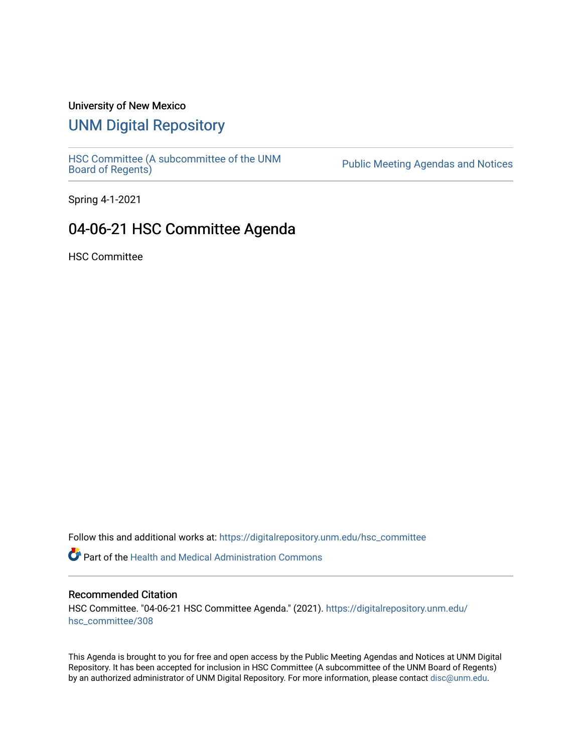### University of New Mexico

# [UNM Digital Repository](https://digitalrepository.unm.edu/)

HSC Committee (A subcommittee of the UNM<br>Board of Regents)

Public Meeting Agendas and Notices

Spring 4-1-2021

## 04-06-21 HSC Committee Agenda

HSC Committee

Follow this and additional works at: [https://digitalrepository.unm.edu/hsc\\_committee](https://digitalrepository.unm.edu/hsc_committee?utm_source=digitalrepository.unm.edu%2Fhsc_committee%2F308&utm_medium=PDF&utm_campaign=PDFCoverPages) 

Part of the [Health and Medical Administration Commons](http://network.bepress.com/hgg/discipline/663?utm_source=digitalrepository.unm.edu%2Fhsc_committee%2F308&utm_medium=PDF&utm_campaign=PDFCoverPages)

### Recommended Citation

HSC Committee. "04-06-21 HSC Committee Agenda." (2021). [https://digitalrepository.unm.edu/](https://digitalrepository.unm.edu/hsc_committee/308?utm_source=digitalrepository.unm.edu%2Fhsc_committee%2F308&utm_medium=PDF&utm_campaign=PDFCoverPages) [hsc\\_committee/308](https://digitalrepository.unm.edu/hsc_committee/308?utm_source=digitalrepository.unm.edu%2Fhsc_committee%2F308&utm_medium=PDF&utm_campaign=PDFCoverPages)

This Agenda is brought to you for free and open access by the Public Meeting Agendas and Notices at UNM Digital Repository. It has been accepted for inclusion in HSC Committee (A subcommittee of the UNM Board of Regents) by an authorized administrator of UNM Digital Repository. For more information, please contact [disc@unm.edu.](mailto:disc@unm.edu)